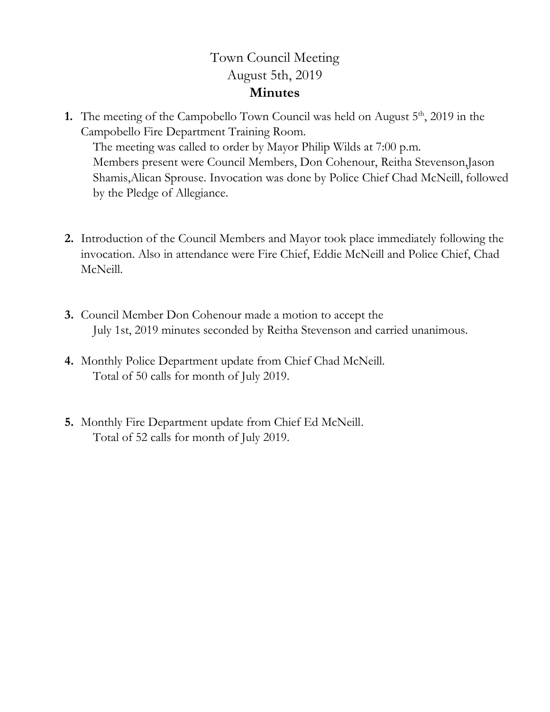## Town Council Meeting August 5th, 2019 **Minutes**

**1.** The meeting of the Campobello Town Council was held on August 5<sup>th</sup>, 2019 in the Campobello Fire Department Training Room.

The meeting was called to order by Mayor Philip Wilds at 7:00 p.m. Members present were Council Members, Don Cohenour, Reitha Stevenson,Jason Shamis,Alican Sprouse. Invocation was done by Police Chief Chad McNeill, followed by the Pledge of Allegiance.

- **2.** Introduction of the Council Members and Mayor took place immediately following the invocation. Also in attendance were Fire Chief, Eddie McNeill and Police Chief, Chad McNeill.
- **3.** Council Member Don Cohenour made a motion to accept the July 1st, 2019 minutes seconded by Reitha Stevenson and carried unanimous.
- **4.** Monthly Police Department update from Chief Chad McNeill. Total of 50 calls for month of July 2019.
- **5.** Monthly Fire Department update from Chief Ed McNeill. Total of 52 calls for month of July 2019.